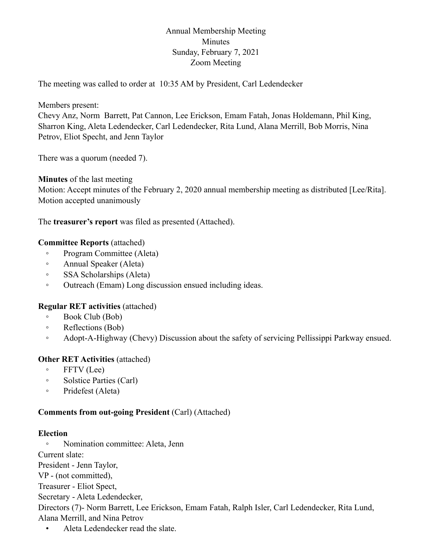# Annual Membership Meeting Minutes Sunday, February 7, 2021 Zoom Meeting

The meeting was called to order at 10:35 AM by President, Carl Ledendecker

Members present:

Chevy Anz, Norm Barrett, Pat Cannon, Lee Erickson, Emam Fatah, Jonas Holdemann, Phil King, Sharron King, Aleta Ledendecker, Carl Ledendecker, Rita Lund, Alana Merrill, Bob Morris, Nina Petrov, Eliot Specht, and Jenn Taylor

There was a quorum (needed 7).

**Minutes** of the last meeting

Motion: Accept minutes of the February 2, 2020 annual membership meeting as distributed [Lee/Rita]. Motion accepted unanimously

The **treasurer's report** was filed as presented (Attached).

# **Committee Reports** (attached)

- Program Committee (Aleta)
- Annual Speaker (Aleta)
- SSA Scholarships (Aleta)
- Outreach (Emam) Long discussion ensued including ideas.

### **Regular RET activities** (attached)

- Book Club (Bob)
- Reflections (Bob)
- Adopt-A-Highway (Chevy) Discussion about the safety of servicing Pellissippi Parkway ensued.

### **Other RET Activities** (attached)

- FFTV (Lee)
- Solstice Parties (Carl)
- Pridefest (Aleta)

### **Comments from out-going President** (Carl) (Attached)

### **Election**

◦ Nomination committee: Aleta, Jenn

Current slate:

President - Jenn Taylor,

VP - (not committed),

Treasurer - Eliot Spect,

Secretary - Aleta Ledendecker,

Directors (7)- Norm Barrett, Lee Erickson, Emam Fatah, Ralph Isler, Carl Ledendecker, Rita Lund, Alana Merrill, and Nina Petrov

• Aleta Ledendecker read the slate.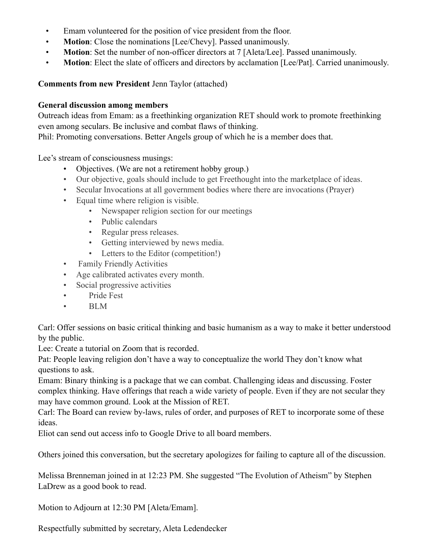- Emam volunteered for the position of vice president from the floor.
- **Motion**: Close the nominations [Lee/Chevy]. Passed unanimously.
- **Motion**: Set the number of non-officer directors at 7 [Aleta/Lee]. Passed unanimously.
- **Motion**: Elect the slate of officers and directors by acclamation [Lee/Pat]. Carried unanimously.

#### **Comments from new President** Jenn Taylor (attached)

#### **General discussion among members**

Outreach ideas from Emam: as a freethinking organization RET should work to promote freethinking even among seculars. Be inclusive and combat flaws of thinking.

Phil: Promoting conversations. Better Angels group of which he is a member does that.

Lee's stream of consciousness musings:

- Objectives. (We are not a retirement hobby group.)
- Our objective, goals should include to get Freethought into the marketplace of ideas.
- Secular Invocations at all government bodies where there are invocations (Prayer)
- Equal time where religion is visible.
	- Newspaper religion section for our meetings
	- Public calendars
	- Regular press releases.
	- Getting interviewed by news media.
	- Letters to the Editor (competition!)
- Family Friendly Activities
- Age calibrated activates every month.
- Social progressive activities
- Pride Fest
- BLM

Carl: Offer sessions on basic critical thinking and basic humanism as a way to make it better understood by the public.

Lee: Create a tutorial on Zoom that is recorded.

Pat: People leaving religion don't have a way to conceptualize the world They don't know what questions to ask.

Emam: Binary thinking is a package that we can combat. Challenging ideas and discussing. Foster complex thinking. Have offerings that reach a wide variety of people. Even if they are not secular they may have common ground. Look at the Mission of RET.

Carl: The Board can review by-laws, rules of order, and purposes of RET to incorporate some of these ideas.

Eliot can send out access info to Google Drive to all board members.

Others joined this conversation, but the secretary apologizes for failing to capture all of the discussion.

Melissa Brenneman joined in at 12:23 PM. She suggested "The Evolution of Atheism" by Stephen LaDrew as a good book to read.

Motion to Adjourn at 12:30 PM [Aleta/Emam].

Respectfully submitted by secretary, Aleta Ledendecker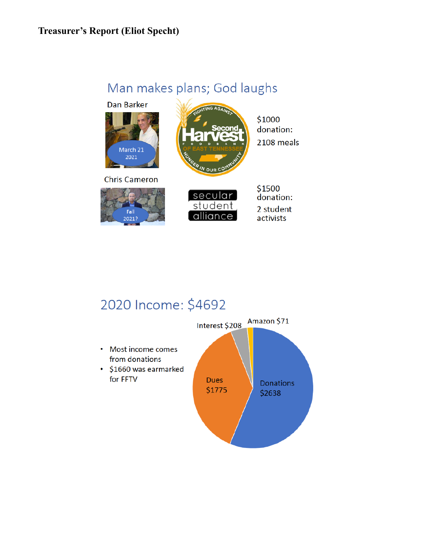# **Treasurer's Report (Eliot Specht)**

# Man makes plans; God laughs









\$1000 donation: 2108 meals

secular student alliance \$1500 donation: 2 student activists

# 2020 Income: \$4692

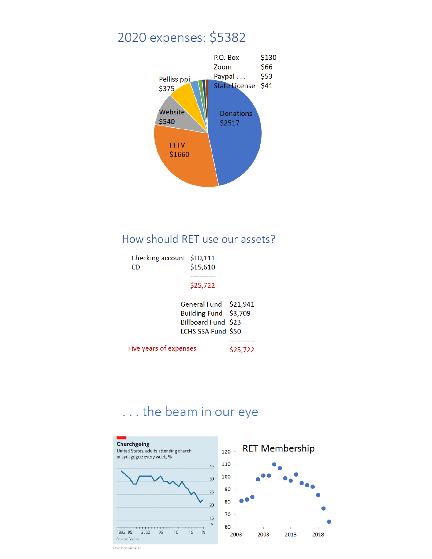# 2020 expenses: \$5382



# How should RET use our assets?

| Checking account \$10,111<br>CD | \$15,610 |
|---------------------------------|----------|
|                                 | \$25,722 |

#### General Fund \$21,941 Building Fund \$3,709 Billboard Fund \$23 LCHS SSA Fund \$50

-----------

Five years of expenses \$25,722

# ... the beam in our eye



The Economist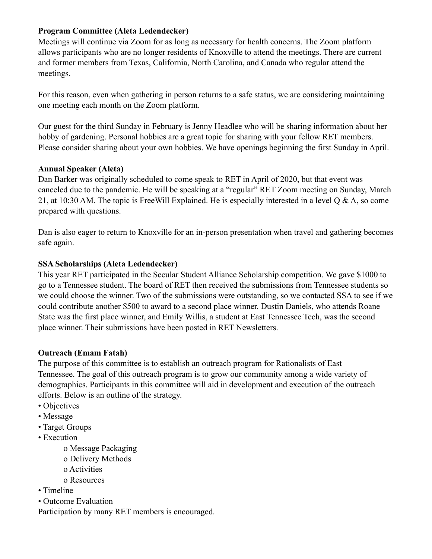# **Program Committee (Aleta Ledendecker)**

Meetings will continue via Zoom for as long as necessary for health concerns. The Zoom platform allows participants who are no longer residents of Knoxville to attend the meetings. There are current and former members from Texas, California, North Carolina, and Canada who regular attend the meetings.

For this reason, even when gathering in person returns to a safe status, we are considering maintaining one meeting each month on the Zoom platform.

Our guest for the third Sunday in February is Jenny Headlee who will be sharing information about her hobby of gardening. Personal hobbies are a great topic for sharing with your fellow RET members. Please consider sharing about your own hobbies. We have openings beginning the first Sunday in April.

### **Annual Speaker (Aleta)**

Dan Barker was originally scheduled to come speak to RET in April of 2020, but that event was canceled due to the pandemic. He will be speaking at a "regular" RET Zoom meeting on Sunday, March 21, at 10:30 AM. The topic is FreeWill Explained. He is especially interested in a level Q & A, so come prepared with questions.

Dan is also eager to return to Knoxville for an in-person presentation when travel and gathering becomes safe again.

### **SSA Scholarships (Aleta Ledendecker)**

This year RET participated in the Secular Student Alliance Scholarship competition. We gave \$1000 to go to a Tennessee student. The board of RET then received the submissions from Tennessee students so we could choose the winner. Two of the submissions were outstanding, so we contacted SSA to see if we could contribute another \$500 to award to a second place winner. Dustin Daniels, who attends Roane State was the first place winner, and Emily Willis, a student at East Tennessee Tech, was the second place winner. Their submissions have been posted in RET Newsletters.

### **Outreach (Emam Fatah)**

The purpose of this committee is to establish an outreach program for Rationalists of East Tennessee. The goal of this outreach program is to grow our community among a wide variety of demographics. Participants in this committee will aid in development and execution of the outreach efforts. Below is an outline of the strategy.

- Objectives
- Message
- Target Groups
- Execution
	- o Message Packaging
	- o Delivery Methods
	- o Activities
	- o Resources
- Timeline
- Outcome Evaluation

Participation by many RET members is encouraged.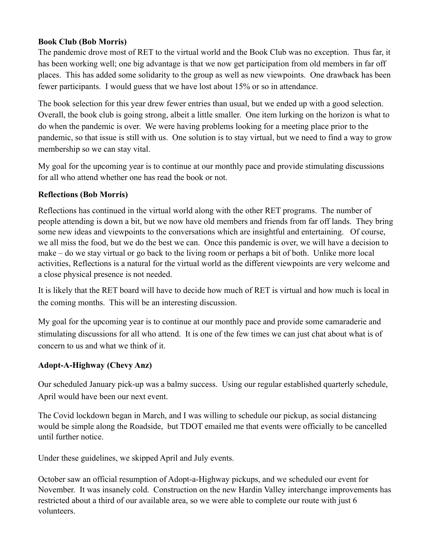# **Book Club (Bob Morris)**

The pandemic drove most of RET to the virtual world and the Book Club was no exception. Thus far, it has been working well; one big advantage is that we now get participation from old members in far off places. This has added some solidarity to the group as well as new viewpoints. One drawback has been fewer participants. I would guess that we have lost about 15% or so in attendance.

The book selection for this year drew fewer entries than usual, but we ended up with a good selection. Overall, the book club is going strong, albeit a little smaller. One item lurking on the horizon is what to do when the pandemic is over. We were having problems looking for a meeting place prior to the pandemic, so that issue is still with us. One solution is to stay virtual, but we need to find a way to grow membership so we can stay vital.

My goal for the upcoming year is to continue at our monthly pace and provide stimulating discussions for all who attend whether one has read the book or not.

# **Reflections (Bob Morris)**

Reflections has continued in the virtual world along with the other RET programs. The number of people attending is down a bit, but we now have old members and friends from far off lands. They bring some new ideas and viewpoints to the conversations which are insightful and entertaining. Of course, we all miss the food, but we do the best we can. Once this pandemic is over, we will have a decision to make – do we stay virtual or go back to the living room or perhaps a bit of both. Unlike more local activities, Reflections is a natural for the virtual world as the different viewpoints are very welcome and a close physical presence is not needed.

It is likely that the RET board will have to decide how much of RET is virtual and how much is local in the coming months. This will be an interesting discussion.

My goal for the upcoming year is to continue at our monthly pace and provide some camaraderie and stimulating discussions for all who attend. It is one of the few times we can just chat about what is of concern to us and what we think of it.

### **Adopt-A-Highway (Chevy Anz)**

Our scheduled January pick-up was a balmy success. Using our regular established quarterly schedule, April would have been our next event.

The Covid lockdown began in March, and I was willing to schedule our pickup, as social distancing would be simple along the Roadside, but TDOT emailed me that events were officially to be cancelled until further notice.

Under these guidelines, we skipped April and July events.

October saw an official resumption of Adopt-a-Highway pickups, and we scheduled our event for November. It was insanely cold. Construction on the new Hardin Valley interchange improvements has restricted about a third of our available area, so we were able to complete our route with just 6 volunteers.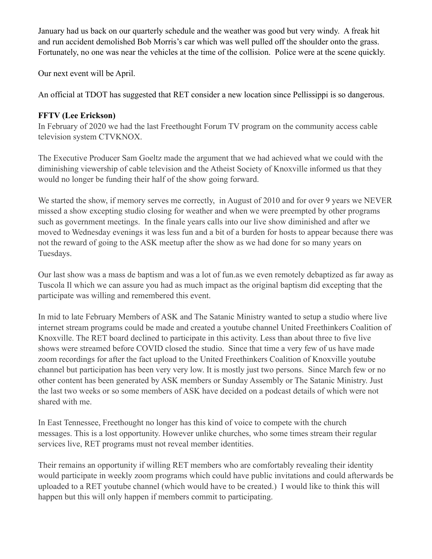January had us back on our quarterly schedule and the weather was good but very windy. A freak hit and run accident demolished Bob Morris's car which was well pulled off the shoulder onto the grass. Fortunately, no one was near the vehicles at the time of the collision. Police were at the scene quickly.

Our next event will be April.

An official at TDOT has suggested that RET consider a new location since Pellissippi is so dangerous.

# **FFTV (Lee Erickson)**

In February of 2020 we had the last Freethought Forum TV program on the community access cable television system CTVKNOX.

The Executive Producer Sam Goeltz made the argument that we had achieved what we could with the diminishing viewership of cable television and the Atheist Society of Knoxville informed us that they would no longer be funding their half of the show going forward.

We started the show, if memory serves me correctly, in August of 2010 and for over 9 years we NEVER missed a show excepting studio closing for weather and when we were preempted by other programs such as government meetings. In the finale years calls into our live show diminished and after we moved to Wednesday evenings it was less fun and a bit of a burden for hosts to appear because there was not the reward of going to the ASK meetup after the show as we had done for so many years on Tuesdays.

Our last show was a mass de baptism and was a lot of fun.as we even remotely debaptized as far away as Tuscola Il which we can assure you had as much impact as the original baptism did excepting that the participate was willing and remembered this event.

In mid to late February Members of ASK and The Satanic Ministry wanted to setup a studio where live internet stream programs could be made and created a youtube channel United Freethinkers Coalition of Knoxville. The RET board declined to participate in this activity. Less than about three to five live shows were streamed before COVID closed the studio. Since that time a very few of us have made zoom recordings for after the fact upload to the United Freethinkers Coalition of Knoxville youtube channel but participation has been very very low. It is mostly just two persons. Since March few or no other content has been generated by ASK members or Sunday Assembly or The Satanic Ministry. Just the last two weeks or so some members of ASK have decided on a podcast details of which were not shared with me.

In East Tennessee, Freethought no longer has this kind of voice to compete with the church messages. This is a lost opportunity. However unlike churches, who some times stream their regular services live, RET programs must not reveal member identities.

Their remains an opportunity if willing RET members who are comfortably revealing their identity would participate in weekly zoom programs which could have public invitations and could afterwards be uploaded to a RET youtube channel (which would have to be created.) I would like to think this will happen but this will only happen if members commit to participating.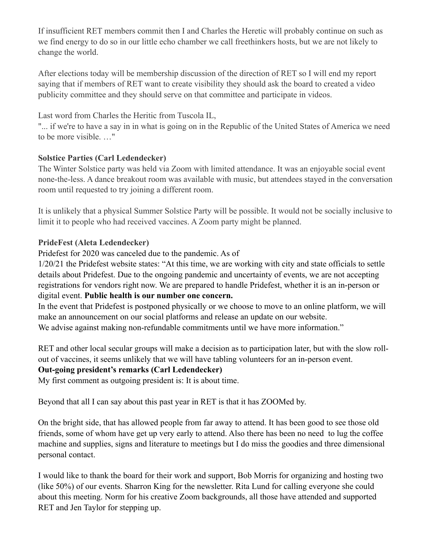If insufficient RET members commit then I and Charles the Heretic will probably continue on such as we find energy to do so in our little echo chamber we call freethinkers hosts, but we are not likely to change the world.

After elections today will be membership discussion of the direction of RET so I will end my report saying that if members of RET want to create visibility they should ask the board to created a video publicity committee and they should serve on that committee and participate in videos.

Last word from Charles the Heritic from Tuscola IL,

"... if we're to have a say in in what is going on in the Republic of the United States of America we need to be more visible. …"

# **Solstice Parties (Carl Ledendecker)**

The Winter Solstice party was held via Zoom with limited attendance. It was an enjoyable social event none-the-less. A dance breakout room was available with music, but attendees stayed in the conversation room until requested to try joining a different room.

It is unlikely that a physical Summer Solstice Party will be possible. It would not be socially inclusive to limit it to people who had received vaccines. A Zoom party might be planned.

# **PrideFest (Aleta Ledendecker)**

Pridefest for 2020 was canceled due to the pandemic. As of

1/20/21 the Pridefest website states: "At this time, we are working with city and state officials to settle details about Pridefest. Due to the ongoing pandemic and uncertainty of events, we are not accepting registrations for vendors right now. We are prepared to handle Pridefest, whether it is an in-person or digital event. **Public health is our number one concern.**

In the event that Pridefest is postponed physically or we choose to move to an online platform, we will make an announcement on our social platforms and release an update on our website. We advise against making non-refundable commitments until we have more information."

RET and other local secular groups will make a decision as to participation later, but with the slow rollout of vaccines, it seems unlikely that we will have tabling volunteers for an in-person event.

# **Out-going president's remarks (Carl Ledendecker)**

My first comment as outgoing president is: It is about time.

Beyond that all I can say about this past year in RET is that it has ZOOMed by.

On the bright side, that has allowed people from far away to attend. It has been good to see those old friends, some of whom have get up very early to attend. Also there has been no need to lug the coffee machine and supplies, signs and literature to meetings but I do miss the goodies and three dimensional personal contact.

I would like to thank the board for their work and support, Bob Morris for organizing and hosting two (like 50%) of our events. Sharron King for the newsletter. Rita Lund for calling everyone she could about this meeting. Norm for his creative Zoom backgrounds, all those have attended and supported RET and Jen Taylor for stepping up.